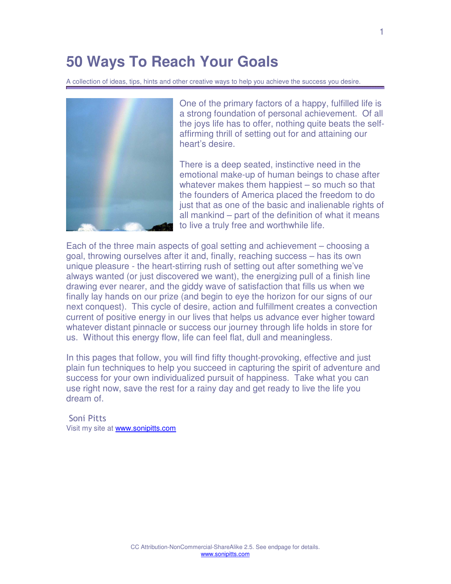# **50 Ways To Reach Your Goals**

A collection of ideas, tips, hints and other creative ways to help you achieve the success you desire.



One of the primary factors of a happy, fulfilled life is a strong foundation of personal achievement. Of all the joys life has to offer, nothing quite beats the selfaffirming thrill of setting out for and attaining our heart's desire.

There is a deep seated, instinctive need in the emotional make-up of human beings to chase after whatever makes them happiest – so much so that the founders of America placed the freedom to do just that as one of the basic and inalienable rights of all mankind – part of the definition of what it means to live a truly free and worthwhile life.

Each of the three main aspects of goal setting and achievement – choosing a goal, throwing ourselves after it and, finally, reaching success – has its own unique pleasure - the heart-stirring rush of setting out after something we've always wanted (or just discovered we want), the energizing pull of a finish line drawing ever nearer, and the giddy wave of satisfaction that fills us when we finally lay hands on our prize (and begin to eye the horizon for our signs of our next conquest). This cycle of desire, action and fulfillment creates a convection current of positive energy in our lives that helps us advance ever higher toward whatever distant pinnacle or success our journey through life holds in store for us. Without this energy flow, life can feel flat, dull and meaningless.

In this pages that follow, you will find fifty thought-provoking, effective and just plain fun techniques to help you succeed in capturing the spirit of adventure and success for your own individualized pursuit of happiness. Take what you can use right now, save the rest for a rainy day and get ready to live the life you dream of.

 Soni Pitts Visit my site at [www.sonipitts.com](http://www.sonipitts.com/)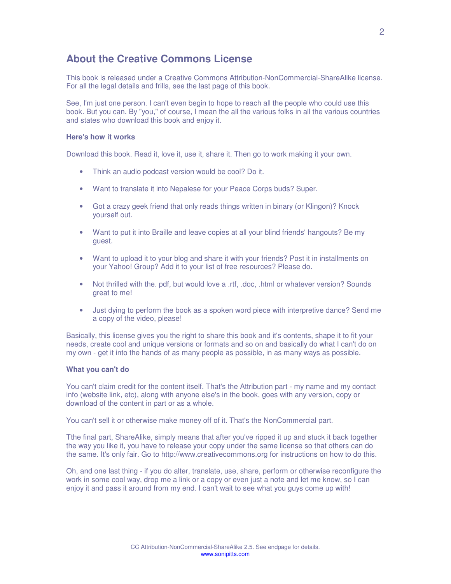## <span id="page-1-0"></span>**About the Creative Commons License**

This book is released under a Creative Commons Attribution-NonCommercial-ShareAlike license. For all the legal details and frills, see the last page of this book.

See, I'm just one person. I can't even begin to hope to reach all the people who could use this book. But you can. By "you," of course, I mean the all the various folks in all the various countries and states who download this book and enjoy it.

#### **Here's how it works**

Download this book. Read it, love it, use it, share it. Then go to work making it your own.

- Think an audio podcast version would be cool? Do it.
- Want to translate it into Nepalese for your Peace Corps buds? Super.
- Got a crazy geek friend that only reads things written in binary (or Klingon)? Knock yourself out.
- Want to put it into Braille and leave copies at all your blind friends' hangouts? Be my guest.
- Want to upload it to your blog and share it with your friends? Post it in installments on your Yahoo! Group? Add it to your list of free resources? Please do.
- Not thrilled with the. pdf, but would love a .rtf, .doc, .html or whatever version? Sounds great to me!
- Just dying to perform the book as a spoken word piece with interpretive dance? Send me a copy of the video, please!

Basically, this license gives you the right to share this book and it's contents, shape it to fit your needs, create cool and unique versions or formats and so on and basically do what I can't do on my own - get it into the hands of as many people as possible, in as many ways as possible.

#### **What you can't do**

You can't claim credit for the content itself. That's the Attribution part - my name and my contact info (website link, etc), along with anyone else's in the book, goes with any version, copy or download of the content in part or as a whole.

You can't sell it or otherwise make money off of it. That's the NonCommercial part.

Tthe final part, ShareAlike, simply means that after you've ripped it up and stuck it back together the way you like it, you have to release your copy under the same license so that others can do the same. It's only fair. Go to http://www.creativecommons.org for instructions on how to do this.

Oh, and one last thing - if you do alter, translate, use, share, perform or otherwise reconfigure the work in some cool way, drop me a link or a copy or even just a note and let me know, so I can enjoy it and pass it around from my end. I can't wait to see what you guys come up with!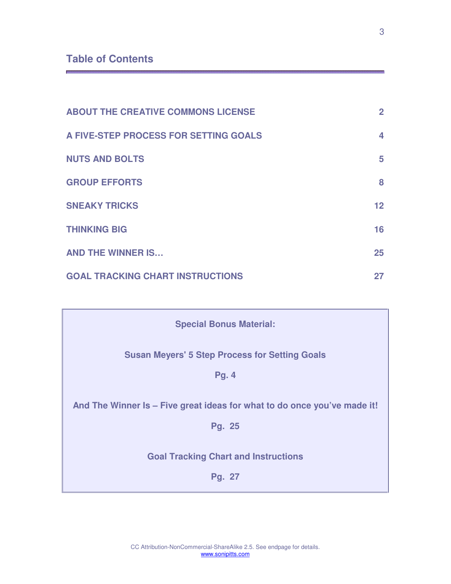## **Table of Contents**

| <b>ABOUT THE CREATIVE COMMONS LICENSE</b> | $\overline{2}$  |
|-------------------------------------------|-----------------|
| A FIVE-STEP PROCESS FOR SETTING GOALS     | 4               |
| <b>NUTS AND BOLTS</b>                     | 5               |
| <b>GROUP EFFORTS</b>                      | 8               |
| <b>SNEAKY TRICKS</b>                      | 12 <sub>2</sub> |
| <b>THINKING BIG</b>                       | 16              |
| <b>AND THE WINNER IS</b>                  | 25              |
| <b>GOAL TRACKING CHART INSTRUCTIONS</b>   | 27              |

| <b>Special Bonus Material:</b>                                           |  |  |  |  |
|--------------------------------------------------------------------------|--|--|--|--|
| <b>Susan Meyers' 5 Step Process for Setting Goals</b>                    |  |  |  |  |
| <b>Pg. 4</b>                                                             |  |  |  |  |
| And The Winner Is – Five great ideas for what to do once you've made it! |  |  |  |  |
| Pg. 25                                                                   |  |  |  |  |
| <b>Goal Tracking Chart and Instructions</b>                              |  |  |  |  |
| Pg. 27                                                                   |  |  |  |  |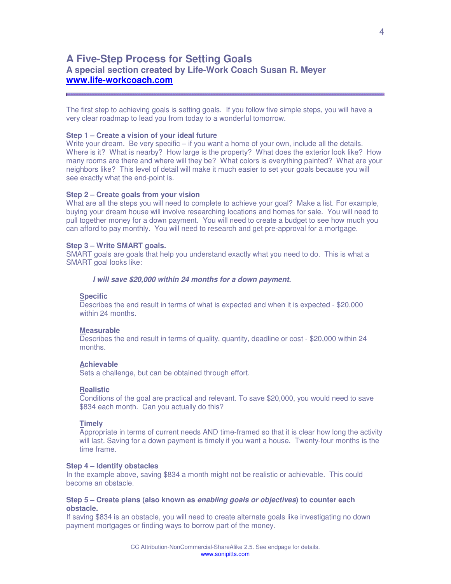## <span id="page-3-0"></span>**A Five-Step Process for Setting Goals A special section created by Life-Work Coach Susan R. Meyer [www.life-workcoach.com](http://www.life-workcoach.com/)**

The first step to achieving goals is setting goals. If you follow five simple steps, you will have a very clear roadmap to lead you from today to a wonderful tomorrow.

#### **Step 1 – Create a vision of your ideal future**

Write your dream. Be very specific – if you want a home of your own, include all the details. Where is it? What is nearby? How large is the property? What does the exterior look like? How many rooms are there and where will they be? What colors is everything painted? What are your neighbors like? This level of detail will make it much easier to set your goals because you will see exactly what the end-point is.

#### **Step 2 – Create goals from your vision**

What are all the steps you will need to complete to achieve your goal? Make a list. For example, buying your dream house will involve researching locations and homes for sale. You will need to pull together money for a down payment. You will need to create a budget to see how much you can afford to pay monthly. You will need to research and get pre-approval for a mortgage.

#### **Step 3 – Write SMART goals.**

SMART goals are goals that help you understand exactly what you need to do. This is what a SMART goal looks like:

#### **I will save \$20,000 within 24 months for a down payment.**

#### **Specific**

Describes the end result in terms of what is expected and when it is expected - \$20,000 within 24 months.

#### **Measurable**

Describes the end result in terms of quality, quantity, deadline or cost - \$20,000 within 24 months.

#### **Achievable**

Sets a challenge, but can be obtained through effort.

#### **Realistic**

Conditions of the goal are practical and relevant. To save \$20,000, you would need to save \$834 each month. Can you actually do this?

#### **Timely**

Appropriate in terms of current needs AND time-framed so that it is clear how long the activity will last. Saving for a down payment is timely if you want a house. Twenty-four months is the time frame.

#### **Step 4 – Identify obstacles**

In the example above, saving \$834 a month might not be realistic or achievable. This could become an obstacle.

#### **Step 5 – Create plans (also known as enabling goals or objectives) to counter each obstacle.**

If saving \$834 is an obstacle, you will need to create alternate goals like investigating no down payment mortgages or finding ways to borrow part of the money.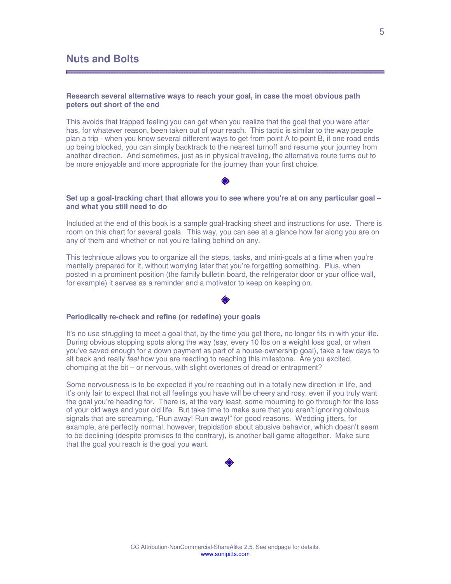## <span id="page-4-0"></span>**Nuts and Bolts**

#### **Research several alternative ways to reach your goal, in case the most obvious path peters out short of the end**

This avoids that trapped feeling you can get when you realize that the goal that you were after has, for whatever reason, been taken out of your reach. This tactic is similar to the way people plan a trip - when you know several different ways to get from point A to point B, if one road ends up being blocked, you can simply backtrack to the nearest turnoff and resume your journey from another direction. And sometimes, just as in physical traveling, the alternative route turns out to be more enjoyable and more appropriate for the journey than your first choice.

#### **Set up a goal-tracking chart that allows you to see where you're at on any particular goal – and what you still need to do**

Included at the end of this book is a sample goal-tracking sheet and instructions for use. There is room on this chart for several goals. This way, you can see at a glance how far along you are on any of them and whether or not you're falling behind on any.

This technique allows you to organize all the steps, tasks, and mini-goals at a time when you're mentally prepared for it, without worrying later that you're forgetting something. Plus, when posted in a prominent position (the family bulletin board, the refrigerator door or your office wall, for example) it serves as a reminder and a motivator to keep on keeping on.

#### **Periodically re-check and refine (or redefine) your goals**

It's no use struggling to meet a goal that, by the time you get there, no longer fits in with your life. During obvious stopping spots along the way (say, every 10 lbs on a weight loss goal, or when you've saved enough for a down payment as part of a house-ownership goal), take a few days to sit back and really feel how you are reacting to reaching this milestone. Are you excited, chomping at the bit – or nervous, with slight overtones of dread or entrapment?

Some nervousness is to be expected if you're reaching out in a totally new direction in life, and it's only fair to expect that not all feelings you have will be cheery and rosy, even if you truly want the goal you're heading for. There is, at the very least, some mourning to go through for the loss of your old ways and your old life. But take time to make sure that you aren't ignoring obvious signals that are screaming, "Run away! Run away!" for good reasons. Wedding jitters, for example, are perfectly normal; however, trepidation about abusive behavior, which doesn't seem to be declining (despite promises to the contrary), is another ball game altogether. Make sure that the goal you reach is the goal you want.

## I.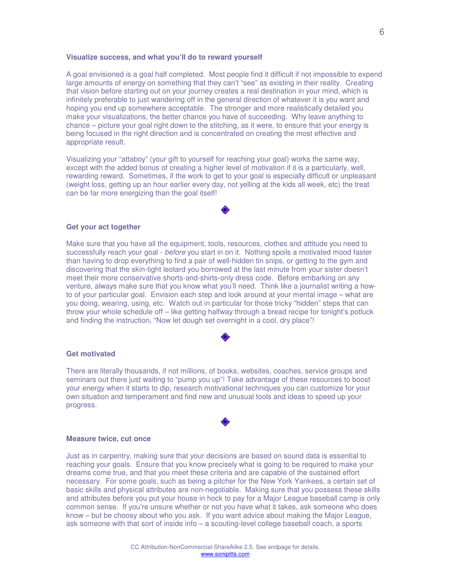#### **Visualize success, and what you'll do to reward yourself**

A goal envisioned is a goal half completed. Most people find it difficult if not impossible to expend large amounts of energy on something that they can't "see" as existing in their reality. Creating that vision before starting out on your journey creates a real destination in your mind, which is infinitely preferable to just wandering off in the general direction of whatever it is you want and hoping you end up somewhere acceptable. The stronger and more realistically detailed you make your visualizations, the better chance you have of succeeding. Why leave anything to chance – picture your goal right down to the stitching, as it were, to ensure that your energy is being focused in the right direction and is concentrated on creating the most effective and appropriate result.

Visualizing your "attaboy" (your gift to yourself for reaching your goal) works the same way, except with the added bonus of creating a higher level of motivation if it is a particularly, well, rewarding reward. Sometimes, if the work to get to your goal is especially difficult or unpleasant (weight loss, getting up an hour earlier every day, not yelling at the kids all week, etc) the treat can be far more energizing than the goal itself!

#### **Get your act together**

Make sure that you have all the equipment, tools, resources, clothes and attitude you need to successfully reach your goal - before you start in on it. Nothing spoils a motivated mood faster than having to drop everything to find a pair of well-hidden tin snips, or getting to the gym and discovering that the skin-tight leotard you borrowed at the last minute from your sister doesn't meet their more conservative shorts-and-shirts-only dress code. Before embarking on any venture, always make sure that you know what you'll need. Think like a journalist writing a howto of your particular goal. Envision each step and look around at your mental image – what are you doing, wearing, using, etc. Watch out in particular for those tricky "hidden" steps that can throw your whole schedule off – like getting halfway through a bread recipe for tonight's potluck and finding the instruction, "Now let dough set overnight in a cool, dry place"!

#### **Get motivated**

There are literally thousands, if not millions, of books, websites, coaches, service groups and seminars out there just waiting to "pump you up"! Take advantage of these resources to boost your energy when it starts to dip, research motivational techniques you can customize for your own situation and temperament and find new and unusual tools and ideas to speed up your progress.

#### **Measure twice, cut once**

Just as in carpentry, making sure that your decisions are based on sound data is essential to reaching your goals. Ensure that you know precisely what is going to be required to make your dreams come true, and that you meet these criteria and are capable of the sustained effort necessary. For some goals, such as being a pitcher for the New York Yankees, a certain set of basic skills and physical attributes are non-negotiable. Making sure that you possess these skills and attributes before you put your house in hock to pay for a Major League baseball camp is only common sense. If you're unsure whether or not you have what it takes, ask someone who does know – but be choosy about who you ask. If you want advice about making the Major League, ask someone with that sort of inside info – a scouting-level college baseball coach, a sports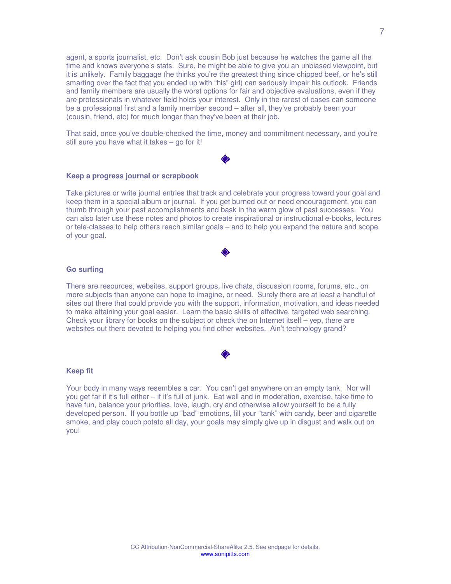agent, a sports journalist, etc. Don't ask cousin Bob just because he watches the game all the time and knows everyone's stats. Sure, he might be able to give you an unbiased viewpoint, but it is unlikely. Family baggage (he thinks you're the greatest thing since chipped beef, or he's still smarting over the fact that you ended up with "his" girl) can seriously impair his outlook. Friends and family members are usually the worst options for fair and objective evaluations, even if they are professionals in whatever field holds your interest. Only in the rarest of cases can someone be a professional first and a family member second – after all, they've probably been your (cousin, friend, etc) for much longer than they've been at their job.

That said, once you've double-checked the time, money and commitment necessary, and you're still sure you have what it takes – go for it!

#### **Keep a progress journal or scrapbook**

Take pictures or write journal entries that track and celebrate your progress toward your goal and keep them in a special album or journal. If you get burned out or need encouragement, you can thumb through your past accomplishments and bask in the warm glow of past successes. You can also later use these notes and photos to create inspirational or instructional e-books, lectures or tele-classes to help others reach similar goals – and to help you expand the nature and scope of your goal.

#### **Go surfing**

There are resources, websites, support groups, live chats, discussion rooms, forums, etc., on more subjects than anyone can hope to imagine, or need. Surely there are at least a handful of sites out there that could provide you with the support, information, motivation, and ideas needed to make attaining your goal easier. Learn the basic skills of effective, targeted web searching. Check your library for books on the subject or check the on Internet itself – yep, there are websites out there devoted to helping you find other websites. Ain't technology grand?

#### **Keep fit**

Your body in many ways resembles a car. You can't get anywhere on an empty tank. Nor will you get far if it's full either – if it's full of junk. Eat well and in moderation, exercise, take time to have fun, balance your priorities, love, laugh, cry and otherwise allow yourself to be a fully developed person. If you bottle up "bad" emotions, fill your "tank" with candy, beer and cigarette smoke, and play couch potato all day, your goals may simply give up in disgust and walk out on you!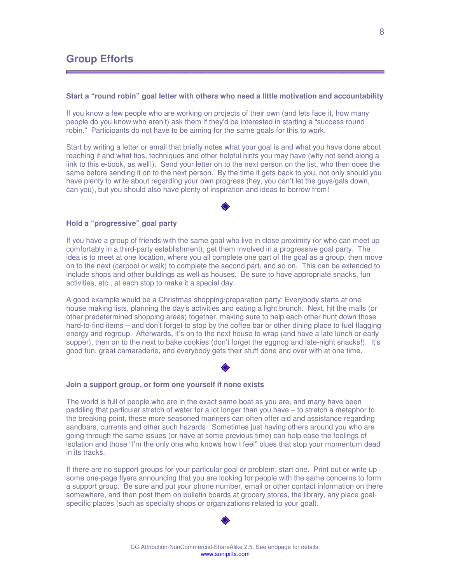#### <span id="page-7-0"></span>**Start a "round robin" goal letter with others who need a little motivation and accountability**

If you know a few people who are working on projects of their own (and lets face it, how many people do you know who aren't) ask them if they'd be interested in starting a "success round robin." Participants do not have to be aiming for the same goals for this to work.

Start by writing a letter or email that briefly notes what your goal is and what you have done about reaching it and what tips, techniques and other helpful hints you may have (why not send along a link to this e-book, as well!). Send your letter on to the next person on the list, who then does the same before sending it on to the next person. By the time it gets back to you, not only should you have plenty to write about regarding your own progress (hey, you can't let the guys/gals down, can you), but you should also have plenty of inspiration and ideas to borrow from!

#### **Hold a "progressive" goal party**

If you have a group of friends with the same goal who live in close proximity (or who can meet up comfortably in a third-party establishment), get them involved in a progressive goal party. The idea is to meet at one location, where you all complete one part of the goal as a group, then move on to the next (carpool or walk) to complete the second part, and so on. This can be extended to include shops and other buildings as well as houses. Be sure to have appropriate snacks, fun activities, etc., at each stop to make it a special day.

A good example would be a Christmas shopping/preparation party: Everybody starts at one house making lists, planning the day's activities and eating a light brunch. Next, hit the malls (or other predetermined shopping areas) together, making sure to help each other hunt down those hard-to-find items – and don't forget to stop by the coffee bar or other dining place to fuel flagging energy and regroup. Afterwards, it's on to the next house to wrap (and have a late lunch or early supper), then on to the next to bake cookies (don't forget the eggnog and late-night snacks!). It's good fun, great camaraderie, and everybody gets their stuff done and over with at one time.

#### **Join a support group, or form one yourself if none exists**

The world is full of people who are in the exact same boat as you are, and many have been paddling that particular stretch of water for a lot longer than you have – to stretch a metaphor to the breaking point, these more seasoned mariners can often offer aid and assistance regarding sandbars, currents and other such hazards. Sometimes just having others around you who are going through the same issues (or have at some previous time) can help ease the feelings of isolation and those "I'm the only one who knows how I feel" blues that stop your momentum dead in its tracks.

If there are no support groups for your particular goal or problem, start one. Print out or write up some one-page flyers announcing that you are looking for people with the same concerns to form a support group. Be sure and put your phone number, email or other contact information on there somewhere, and then post them on bulletin boards at grocery stores, the library, any place goalspecific places (such as specialty shops or organizations related to your goal).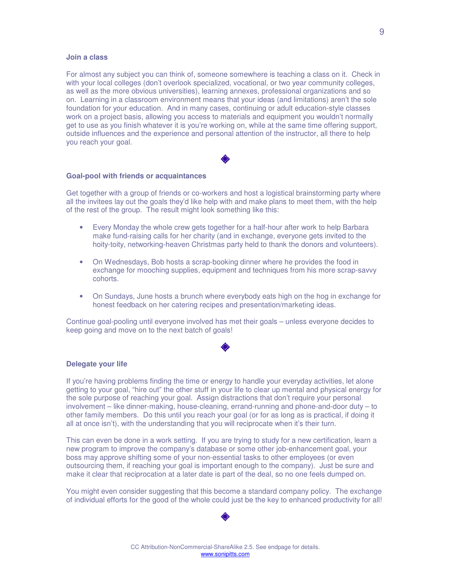#### **Join a class**

For almost any subject you can think of, someone somewhere is teaching a class on it. Check in with your local colleges (don't overlook specialized, vocational, or two year community colleges, as well as the more obvious universities), learning annexes, professional organizations and so on. Learning in a classroom environment means that your ideas (and limitations) aren't the sole foundation for your education. And in many cases, continuing or adult education-style classes work on a project basis, allowing you access to materials and equipment you wouldn't normally get to use as you finish whatever it is you're working on, while at the same time offering support, outside influences and the experience and personal attention of the instructor, all there to help you reach your goal.

#### **Goal-pool with friends or acquaintances**

Get together with a group of friends or co-workers and host a logistical brainstorming party where all the invitees lay out the goals they'd like help with and make plans to meet them, with the help of the rest of the group. The result might look something like this:

- Every Monday the whole crew gets together for a half-hour after work to help Barbara make fund-raising calls for her charity (and in exchange, everyone gets invited to the hoity-toity, networking-heaven Christmas party held to thank the donors and volunteers).
- On Wednesdays, Bob hosts a scrap-booking dinner where he provides the food in exchange for mooching supplies, equipment and techniques from his more scrap-savvy cohorts.
- On Sundays, June hosts a brunch where everybody eats high on the hog in exchange for honest feedback on her catering recipes and presentation/marketing ideas.

Continue goal-pooling until everyone involved has met their goals – unless everyone decides to keep going and move on to the next batch of goals!

#### **Delegate your life**

If you're having problems finding the time or energy to handle your everyday activities, let alone getting to your goal, "hire out" the other stuff in your life to clear up mental and physical energy for the sole purpose of reaching your goal. Assign distractions that don't require your personal involvement – like dinner-making, house-cleaning, errand-running and phone-and-door duty – to other family members. Do this until you reach your goal (or for as long as is practical, if doing it all at once isn't), with the understanding that you will reciprocate when it's their turn.

This can even be done in a work setting. If you are trying to study for a new certification, learn a new program to improve the company's database or some other job-enhancement goal, your boss may approve shifting some of your non-essential tasks to other employees (or even outsourcing them, if reaching your goal is important enough to the company). Just be sure and make it clear that reciprocation at a later date is part of the deal, so no one feels dumped on.

You might even consider suggesting that this become a standard company policy. The exchange of individual efforts for the good of the whole could just be the key to enhanced productivity for all!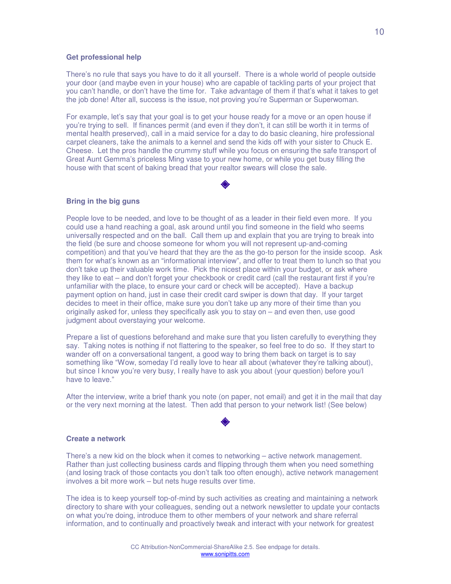#### **Get professional help**

There's no rule that says you have to do it all yourself. There is a whole world of people outside your door (and maybe even in your house) who are capable of tackling parts of your project that you can't handle, or don't have the time for. Take advantage of them if that's what it takes to get the job done! After all, success is the issue, not proving you're Superman or Superwoman.

For example, let's say that your goal is to get your house ready for a move or an open house if you're trying to sell. If finances permit (and even if they don't, it can still be worth it in terms of mental health preserved), call in a maid service for a day to do basic cleaning, hire professional carpet cleaners, take the animals to a kennel and send the kids off with your sister to Chuck E. Cheese. Let the pros handle the crummy stuff while you focus on ensuring the safe transport of Great Aunt Gemma's priceless Ming vase to your new home, or while you get busy filling the house with that scent of baking bread that your realtor swears will close the sale.

#### **Bring in the big guns**

People love to be needed, and love to be thought of as a leader in their field even more. If you could use a hand reaching a goal, ask around until you find someone in the field who seems universally respected and on the ball. Call them up and explain that you are trying to break into the field (be sure and choose someone for whom you will not represent up-and-coming competition) and that you've heard that they are the as the go-to person for the inside scoop. Ask them for what's known as an "informational interview", and offer to treat them to lunch so that you don't take up their valuable work time. Pick the nicest place within your budget, or ask where they like to eat – and don't forget your checkbook or credit card (call the restaurant first if you're unfamiliar with the place, to ensure your card or check will be accepted). Have a backup payment option on hand, just in case their credit card swiper is down that day. If your target decides to meet in their office, make sure you don't take up any more of their time than you originally asked for, unless they specifically ask you to stay on – and even then, use good judgment about overstaying your welcome.

Prepare a list of questions beforehand and make sure that you listen carefully to everything they say. Taking notes is nothing if not flattering to the speaker, so feel free to do so. If they start to wander off on a conversational tangent, a good way to bring them back on target is to say something like "Wow, someday I'd really love to hear all about (whatever they're talking about), but since I know you're very busy, I really have to ask you about (your question) before you/I have to leave."

After the interview, write a brief thank you note (on paper, not email) and get it in the mail that day or the very next morning at the latest. Then add that person to your network list! (See below)

#### **Create a network**

There's a new kid on the block when it comes to networking – active network management. Rather than just collecting business cards and flipping through them when you need something (and losing track of those contacts you don't talk too often enough), active network management involves a bit more work – but nets huge results over time.

The idea is to keep yourself top-of-mind by such activities as creating and maintaining a network directory to share with your colleagues, sending out a network newsletter to update your contacts on what you're doing, introduce them to other members of your network and share referral information, and to continually and proactively tweak and interact with your network for greatest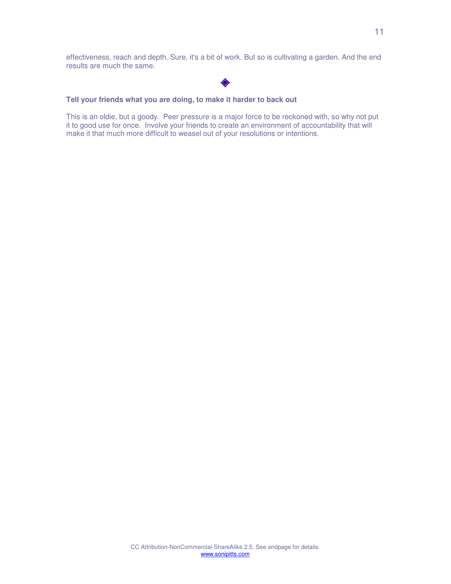effectiveness, reach and depth. Sure, it's a bit of work. But so is cultivating a garden. And the end results are much the same.

## ◈

### **Tell your friends what you are doing, to make it harder to back out**

This is an oldie, but a goody. Peer pressure is a major force to be reckoned with, so why not put it to good use for once. Involve your friends to create an environment of accountability that will make it that much more difficult to weasel out of your resolutions or intentions.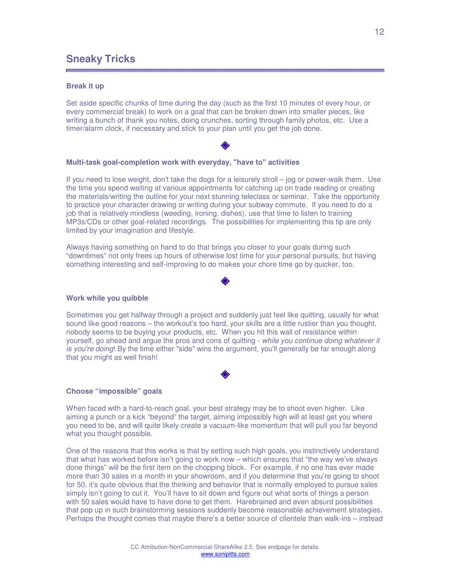## <span id="page-11-0"></span>**Sneaky Tricks**

#### **Break it up**

Set aside specific chunks of time during the day (such as the first 10 minutes of every hour, or every commercial break) to work on a goal that can be broken down into smaller pieces, like writing a bunch of thank you notes, doing crunches, sorting through family photos, etc. Use a timer/alarm clock, if necessary and stick to your plan until you get the job done.

#### **Multi-task goal-completion work with everyday, "have to" activities**

If you need to lose weight, don't take the dogs for a leisurely stroll – jog or power-walk them. Use the time you spend waiting at various appointments for catching up on trade reading or creating the materials/writing the outline for your next stunning teleclass or seminar. Take the opportunity to practice your character drawing or writing during your subway commute. If you need to do a job that is relatively mindless (weeding, ironing, dishes), use that time to listen to training MP3s/CDs or other goal-related recordings. The possibilities for implementing this tip are only limited by your imagination and lifestyle.

Always having something on hand to do that brings you closer to your goals during such "downtimes" not only frees up hours of otherwise lost time for your personal pursuits, but having something interesting and self-improving to do makes your chore time go by quicker, too.

#### **Work while you quibble**

Sometimes you get halfway through a project and suddenly just feel like quitting, usually for what sound like good reasons – the workout's too hard, your skills are a little rustier than you thought, nobody seems to be buying your products, etc. When you hit this wall of resistance within yourself, go ahead and argue the pros and cons of quitting - while you continue doing whatever it is you're doing! By the time either "side" wins the argument, you'll generally be far enough along that you might as well finish!

#### **Choose "impossible" goals**

When faced with a hard-to-reach goal, your best strategy may be to shoot even higher. Like aiming a punch or a kick "beyond" the target, aiming impossibly high will at least get you where you need to be, and will quite likely create a vacuum-like momentum that will pull you far beyond what you thought possible.

One of the reasons that this works is that by setting such high goals, you instinctively understand that what has worked before isn't going to work now – which ensures that "the way we've always done things" will be the first item on the chopping block. For example, if no one has ever made more than 30 sales in a month in your showroom, and if you determine that you're going to shoot for 50, it's quite obvious that the thinking and behavior that is normally employed to pursue sales simply isn't going to cut it. You'll have to sit down and figure out what sorts of things a person with 50 sales would have to have done to get them. Harebrained and even absurd possibilities that pop up in such brainstorming sessions suddenly become reasonable achievement strategies. Perhaps the thought comes that maybe there's a better source of clientele than walk-ins – instead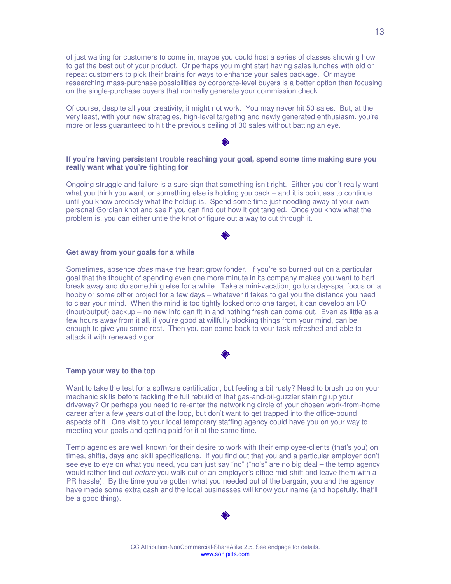of just waiting for customers to come in, maybe you could host a series of classes showing how to get the best out of your product. Or perhaps you might start having sales lunches with old or repeat customers to pick their brains for ways to enhance your sales package. Or maybe researching mass-purchase possibilities by corporate-level buyers is a better option than focusing on the single-purchase buyers that normally generate your commission check.

Of course, despite all your creativity, it might not work. You may never hit 50 sales. But, at the very least, with your new strategies, high-level targeting and newly generated enthusiasm, you're more or less guaranteed to hit the previous ceiling of 30 sales without batting an eye.

#### **If you're having persistent trouble reaching your goal, spend some time making sure you really want what you're fighting for**

Ongoing struggle and failure is a sure sign that something isn't right. Either you don't really want what you think you want, or something else is holding you back – and it is pointless to continue until you know precisely what the holdup is. Spend some time just noodling away at your own personal Gordian knot and see if you can find out how it got tangled. Once you know what the problem is, you can either untie the knot or figure out a way to cut through it.

#### **Get away from your goals for a while**

Sometimes, absence *does* make the heart grow fonder. If you're so burned out on a particular goal that the thought of spending even one more minute in its company makes you want to barf, break away and do something else for a while. Take a mini-vacation, go to a day-spa, focus on a hobby or some other project for a few days – whatever it takes to get you the distance you need to clear your mind. When the mind is too tightly locked onto one target, it can develop an I/O (input/output) backup – no new info can fit in and nothing fresh can come out. Even as little as a few hours away from it all, if you're good at willfully blocking things from your mind, can be enough to give you some rest. Then you can come back to your task refreshed and able to attack it with renewed vigor.

#### **Temp your way to the top**

Want to take the test for a software certification, but feeling a bit rusty? Need to brush up on your mechanic skills before tackling the full rebuild of that gas-and-oil-guzzler staining up your driveway? Or perhaps you need to re-enter the networking circle of your chosen work-from-home career after a few years out of the loop, but don't want to get trapped into the office-bound aspects of it. One visit to your local temporary staffing agency could have you on your way to meeting your goals and getting paid for it at the same time.

Temp agencies are well known for their desire to work with their employee-clients (that's you) on times, shifts, days and skill specifications. If you find out that you and a particular employer don't see eye to eye on what you need, you can just say "no" ("no's" are no big deal – the temp agency would rather find out before you walk out of an employer's office mid-shift and leave them with a PR hassle). By the time you've gotten what you needed out of the bargain, you and the agency have made some extra cash and the local businesses will know your name (and hopefully, that'll be a good thing).



www.sonipitts.com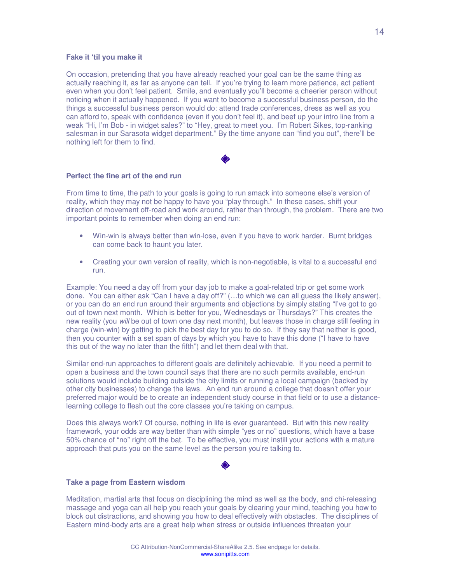#### **Fake it 'til you make it**

On occasion, pretending that you have already reached your goal can be the same thing as actually reaching it, as far as anyone can tell. If you're trying to learn more patience, act patient even when you don't feel patient. Smile, and eventually you'll become a cheerier person without noticing when it actually happened. If you want to become a successful business person, do the things a successful business person would do: attend trade conferences, dress as well as you can afford to, speak with confidence (even if you don't feel it), and beef up your intro line from a weak "Hi, I'm Bob - in widget sales?" to "Hey, great to meet you. I'm Robert Sikes, top-ranking salesman in our Sarasota widget department." By the time anyone can "find you out", there'll be nothing left for them to find.

#### **Perfect the fine art of the end run**

From time to time, the path to your goals is going to run smack into someone else's version of reality, which they may not be happy to have you "play through." In these cases, shift your direction of movement off-road and work around, rather than through, the problem. There are two important points to remember when doing an end run:

- Win-win is always better than win-lose, even if you have to work harder. Burnt bridges can come back to haunt you later.
- Creating your own version of reality, which is non-negotiable, is vital to a successful end run.

Example: You need a day off from your day job to make a goal-related trip or get some work done. You can either ask "Can I have a day off?" (…to which we can all guess the likely answer), or you can do an end run around their arguments and objections by simply stating "I've got to go out of town next month. Which is better for you, Wednesdays or Thursdays?" This creates the new reality (you will be out of town one day next month), but leaves those in charge still feeling in charge (win-win) by getting to pick the best day for you to do so. If they say that neither is good, then you counter with a set span of days by which you have to have this done ("I have to have this out of the way no later than the fifth") and let them deal with that.

Similar end-run approaches to different goals are definitely achievable. If you need a permit to open a business and the town council says that there are no such permits available, end-run solutions would include building outside the city limits or running a local campaign (backed by other city businesses) to change the laws. An end run around a college that doesn't offer your preferred major would be to create an independent study course in that field or to use a distancelearning college to flesh out the core classes you're taking on campus.

Does this always work? Of course, nothing in life is ever guaranteed. But with this new reality framework, your odds are way better than with simple "yes or no" questions, which have a base 50% chance of "no" right off the bat. To be effective, you must instill your actions with a mature approach that puts you on the same level as the person you're talking to.

#### **Take a page from Eastern wisdom**

Meditation, martial arts that focus on disciplining the mind as well as the body, and chi-releasing massage and yoga can all help you reach your goals by clearing your mind, teaching you how to block out distractions, and showing you how to deal effectively with obstacles. The disciplines of Eastern mind-body arts are a great help when stress or outside influences threaten your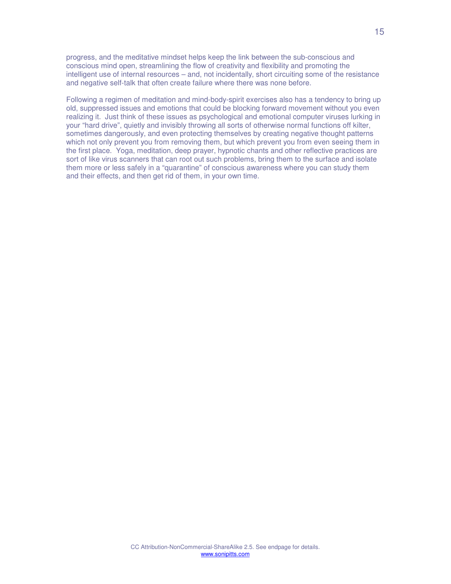progress, and the meditative mindset helps keep the link between the sub-conscious and conscious mind open, streamlining the flow of creativity and flexibility and promoting the intelligent use of internal resources – and, not incidentally, short circuiting some of the resistance and negative self-talk that often create failure where there was none before.

Following a regimen of meditation and mind-body-spirit exercises also has a tendency to bring up old, suppressed issues and emotions that could be blocking forward movement without you even realizing it. Just think of these issues as psychological and emotional computer viruses lurking in your "hard drive", quietly and invisibly throwing all sorts of otherwise normal functions off kilter, sometimes dangerously, and even protecting themselves by creating negative thought patterns which not only prevent you from removing them, but which prevent you from even seeing them in the first place. Yoga, meditation, deep prayer, hypnotic chants and other reflective practices are sort of like virus scanners that can root out such problems, bring them to the surface and isolate them more or less safely in a "quarantine" of conscious awareness where you can study them and their effects, and then get rid of them, in your own time.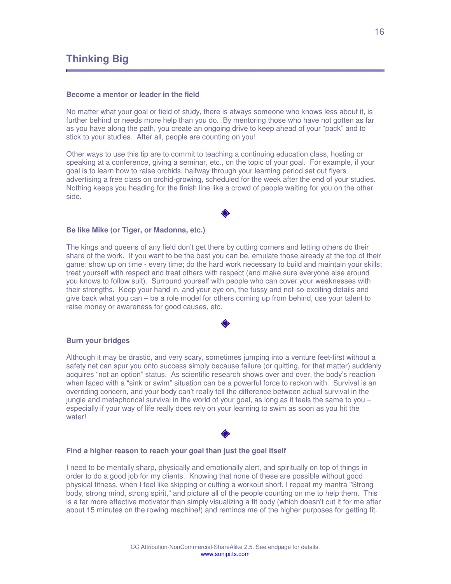## <span id="page-15-0"></span>**Thinking Big**

#### **Become a mentor or leader in the field**

No matter what your goal or field of study, there is always someone who knows less about it, is further behind or needs more help than you do. By mentoring those who have not gotten as far as you have along the path, you create an ongoing drive to keep ahead of your "pack" and to stick to your studies. After all, people are counting on you!

Other ways to use this tip are to commit to teaching a continuing education class, hosting or speaking at a conference, giving a seminar, etc., on the topic of your goal. For example, if your goal is to learn how to raise orchids, halfway through your learning period set out flyers advertising a free class on orchid-growing, scheduled for the week after the end of your studies. Nothing keeps you heading for the finish line like a crowd of people waiting for you on the other side.

#### **Be like Mike (or Tiger, or Madonna, etc.)**

The kings and queens of any field don't get there by cutting corners and letting others do their share of the work. If you want to be the best you can be, emulate those already at the top of their game: show up on time - every time; do the hard work necessary to build and maintain your skills; treat yourself with respect and treat others with respect (and make sure everyone else around you knows to follow suit). Surround yourself with people who can cover your weaknesses with their strengths. Keep your hand in, and your eye on, the fussy and not-so-exciting details and give back what you can – be a role model for others coming up from behind, use your talent to raise money or awareness for good causes, etc.

#### **Burn your bridges**

Although it may be drastic, and very scary, sometimes jumping into a venture feet-first without a safety net can spur you onto success simply because failure (or quitting, for that matter) suddenly acquires "not an option" status. As scientific research shows over and over, the body's reaction when faced with a "sink or swim" situation can be a powerful force to reckon with. Survival is an overriding concern, and your body can't really tell the difference between actual survival in the jungle and metaphorical survival in the world of your goal, as long as it feels the same to you – especially if your way of life really does rely on your learning to swim as soon as you hit the water!

#### **Find a higher reason to reach your goal than just the goal itself**

I need to be mentally sharp, physically and emotionally alert, and spiritually on top of things in order to do a good job for my clients. Knowing that none of these are possible without good physical fitness, when I feel like skipping or cutting a workout short, I repeat my mantra "Strong body, strong mind, strong spirit," and picture all of the people counting on me to help them. This is a far more effective motivator than simply visualizing a fit body (which doesn't cut it for me after about 15 minutes on the rowing machine!) and reminds me of the higher purposes for getting fit.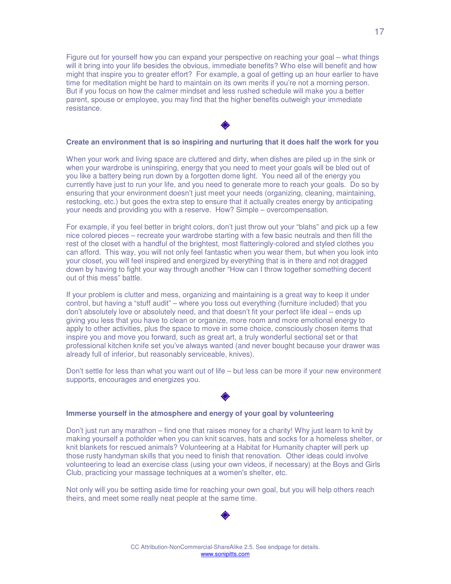Figure out for yourself how you can expand your perspective on reaching your goal – what things will it bring into your life besides the obvious, immediate benefits? Who else will benefit and how might that inspire you to greater effort? For example, a goal of getting up an hour earlier to have time for meditation might be hard to maintain on its own merits if you're not a morning person. But if you focus on how the calmer mindset and less rushed schedule will make you a better parent, spouse or employee, you may find that the higher benefits outweigh your immediate resistance.

#### **Create an environment that is so inspiring and nurturing that it does half the work for you**

When your work and living space are cluttered and dirty, when dishes are piled up in the sink or when your wardrobe is uninspiring, energy that you need to meet your goals will be bled out of you like a battery being run down by a forgotten dome light. You need all of the energy you currently have just to run your life, and you need to generate more to reach your goals. Do so by ensuring that your environment doesn't just meet your needs (organizing, cleaning, maintaining, restocking, etc.) but goes the extra step to ensure that it actually creates energy by anticipating your needs and providing you with a reserve. How? Simple – overcompensation.

For example, if you feel better in bright colors, don't just throw out your "blahs" and pick up a few nice colored pieces – recreate your wardrobe starting with a few basic neutrals and then fill the rest of the closet with a handful of the brightest, most flatteringly-colored and styled clothes you can afford. This way, you will not only feel fantastic when you wear them, but when you look into your closet, you will feel inspired and energized by everything that is in there and not dragged down by having to fight your way through another "How can I throw together something decent out of this mess" battle.

If your problem is clutter and mess, organizing and maintaining is a great way to keep it under control, but having a "stuff audit" – where you toss out everything (furniture included) that you don't absolutely love or absolutely need, and that doesn't fit your perfect life ideal – ends up giving you less that you have to clean or organize, more room and more emotional energy to apply to other activities, plus the space to move in some choice, consciously chosen items that inspire you and move you forward, such as great art, a truly wonderful sectional set or that professional kitchen knife set you've always wanted (and never bought because your drawer was already full of inferior, but reasonably serviceable, knives).

Don't settle for less than what you want out of life – but less can be more if your new environment supports, encourages and energizes you.

#### **Immerse yourself in the atmosphere and energy of your goal by volunteering**

Don't just run any marathon – find one that raises money for a charity! Why just learn to knit by making yourself a potholder when you can knit scarves, hats and socks for a homeless shelter, or knit blankets for rescued animals? Volunteering at a Habitat for Humanity chapter will perk up those rusty handyman skills that you need to finish that renovation. Other ideas could involve volunteering to lead an exercise class (using your own videos, if necessary) at the Boys and Girls Club, practicing your massage techniques at a women's shelter, etc.

Not only will you be setting aside time for reaching your own goal, but you will help others reach theirs, and meet some really neat people at the same time.

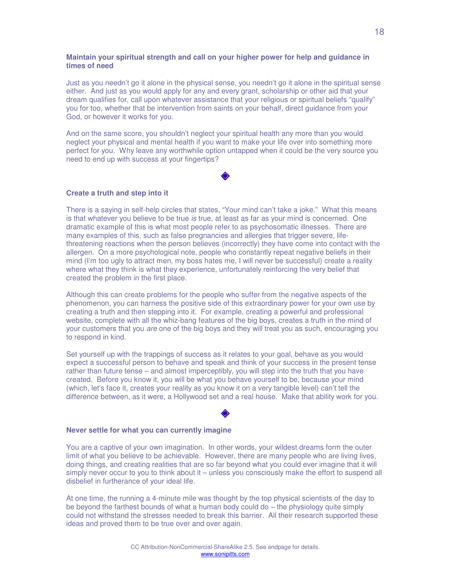#### **Maintain your spiritual strength and call on your higher power for help and guidance in times of need**

Just as you needn't go it alone in the physical sense, you needn't go it alone in the spiritual sense either. And just as you would apply for any and every grant, scholarship or other aid that your dream qualifies for, call upon whatever assistance that your religious or spiritual beliefs "qualify" you for too, whether that be intervention from saints on your behalf, direct guidance from your God, or however it works for you.

And on the same score, you shouldn't neglect your spiritual health any more than you would neglect your physical and mental health if you want to make your life over into something more perfect for you. Why leave any worthwhile option untapped when it could be the very source you need to end up with success at your fingertips?

#### **Create a truth and step into it**

There is a saying in self-help circles that states, "Your mind can't take a joke." What this means is that whatever you believe to be true is true, at least as far as your mind is concerned. One dramatic example of this is what most people refer to as psychosomatic illnesses. There are many examples of this, such as false pregnancies and allergies that trigger severe, lifethreatening reactions when the person believes (incorrectly) they have come into contact with the allergen. On a more psychological note, people who constantly repeat negative beliefs in their mind (I'm too ugly to attract men, my boss hates me, I will never be successful) create a reality where what they think is what they experience, unfortunately reinforcing the very belief that created the problem in the first place.

Although this can create problems for the people who suffer from the negative aspects of the phenomenon, you can harness the positive side of this extraordinary power for your own use by creating a truth and then stepping into it. For example, creating a powerful and professional website, complete with all the whiz-bang features of the big boys, creates a truth in the mind of your customers that you are one of the big boys and they will treat you as such, encouraging you to respond in kind.

Set yourself up with the trappings of success as it relates to your goal, behave as you would expect a successful person to behave and speak and think of your success in the present tense rather than future tense – and almost imperceptibly, you will step into the truth that you have created. Before you know it, you will be what you behave yourself to be, because your mind (which, let's face it, creates your reality as you know it on a very tangible level) can't tell the difference between, as it were, a Hollywood set and a real house. Make that ability work for you.

#### **Never settle for what you can currently imagine**

You are a captive of your own imagination. In other words, your wildest dreams form the outer limit of what you believe to be achievable. However, there are many people who are living lives, doing things, and creating realities that are so far beyond what you could ever imagine that it will simply never occur to you to think about it – unless you consciously make the effort to suspend all disbelief in furtherance of your ideal life.

At one time, the running a 4-minute mile was thought by the top physical scientists of the day to be beyond the farthest bounds of what a human body could do – the physiology quite simply could not withstand the stresses needed to break this barrier. All their research supported these ideas and proved them to be true over and over again.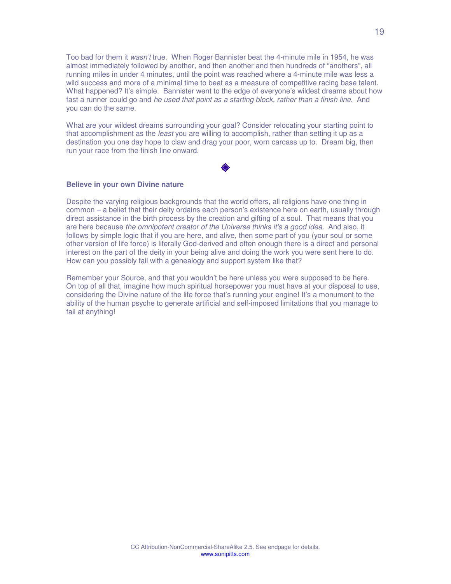Too bad for them it wasn't true. When Roger Bannister beat the 4-minute mile in 1954, he was almost immediately followed by another, and then another and then hundreds of "anothers", all running miles in under 4 minutes, until the point was reached where a 4-minute mile was less a wild success and more of a minimal time to beat as a measure of competitive racing base talent. What happened? It's simple. Bannister went to the edge of everyone's wildest dreams about how fast a runner could go and he used that point as a starting block, rather than a finish line. And you can do the same.

What are your wildest dreams surrounding your goal? Consider relocating your starting point to that accomplishment as the least you are willing to accomplish, rather than setting it up as a destination you one day hope to claw and drag your poor, worn carcass up to. Dream big, then run your race from the finish line onward.

#### **Believe in your own Divine nature**

Despite the varying religious backgrounds that the world offers, all religions have one thing in common – a belief that their deity ordains each person's existence here on earth, usually through direct assistance in the birth process by the creation and gifting of a soul. That means that you are here because the omnipotent creator of the Universe thinks it's a good idea. And also, it follows by simple logic that if you are here, and alive, then some part of you (your soul or some other version of life force) is literally God-derived and often enough there is a direct and personal interest on the part of the deity in your being alive and doing the work you were sent here to do. How can you possibly fail with a genealogy and support system like that?

Remember your Source, and that you wouldn't be here unless you were supposed to be here. On top of all that, imagine how much spiritual horsepower you must have at your disposal to use, considering the Divine nature of the life force that's running your engine! It's a monument to the ability of the human psyche to generate artificial and self-imposed limitations that you manage to fail at anything!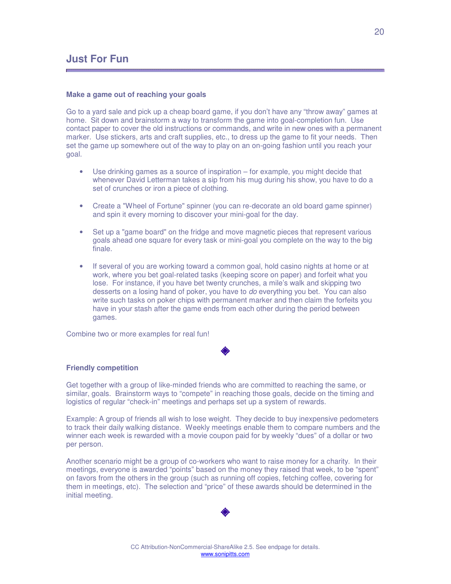#### **Make a game out of reaching your goals**

Go to a yard sale and pick up a cheap board game, if you don't have any "throw away" games at home. Sit down and brainstorm a way to transform the game into goal-completion fun. Use contact paper to cover the old instructions or commands, and write in new ones with a permanent marker. Use stickers, arts and craft supplies, etc., to dress up the game to fit your needs. Then set the game up somewhere out of the way to play on an on-going fashion until you reach your goal.

- Use drinking games as a source of inspiration for example, you might decide that whenever David Letterman takes a sip from his mug during his show, you have to do a set of crunches or iron a piece of clothing.
- Create a "Wheel of Fortune" spinner (you can re-decorate an old board game spinner) and spin it every morning to discover your mini-goal for the day.
- Set up a "game board" on the fridge and move magnetic pieces that represent various goals ahead one square for every task or mini-goal you complete on the way to the big finale.
- If several of you are working toward a common goal, hold casino nights at home or at work, where you bet goal-related tasks (keeping score on paper) and forfeit what you lose. For instance, if you have bet twenty crunches, a mile's walk and skipping two desserts on a losing hand of poker, you have to do everything you bet. You can also write such tasks on poker chips with permanent marker and then claim the forfeits you have in your stash after the game ends from each other during the period between games.

Combine two or more examples for real fun!

#### **Friendly competition**

Get together with a group of like-minded friends who are committed to reaching the same, or similar, goals. Brainstorm ways to "compete" in reaching those goals, decide on the timing and logistics of regular "check-in" meetings and perhaps set up a system of rewards.

Example: A group of friends all wish to lose weight. They decide to buy inexpensive pedometers to track their daily walking distance. Weekly meetings enable them to compare numbers and the winner each week is rewarded with a movie coupon paid for by weekly "dues" of a dollar or two per person.

Another scenario might be a group of co-workers who want to raise money for a charity. In their meetings, everyone is awarded "points" based on the money they raised that week, to be "spent" on favors from the others in the group (such as running off copies, fetching coffee, covering for them in meetings, etc). The selection and "price" of these awards should be determined in the initial meeting.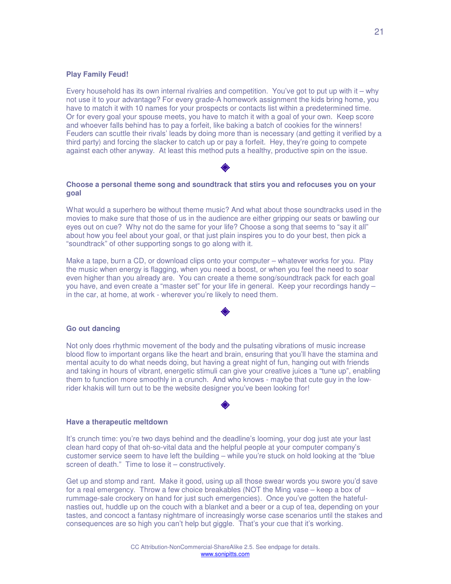#### **Play Family Feud!**

Every household has its own internal rivalries and competition. You've got to put up with it – why not use it to your advantage? For every grade-A homework assignment the kids bring home, you have to match it with 10 names for your prospects or contacts list within a predetermined time. Or for every goal your spouse meets, you have to match it with a goal of your own. Keep score and whoever falls behind has to pay a forfeit, like baking a batch of cookies for the winners! Feuders can scuttle their rivals' leads by doing more than is necessary (and getting it verified by a third party) and forcing the slacker to catch up or pay a forfeit. Hey, they're going to compete against each other anyway. At least this method puts a healthy, productive spin on the issue.

#### **Choose a personal theme song and soundtrack that stirs you and refocuses you on your goal**

What would a superhero be without theme music? And what about those soundtracks used in the movies to make sure that those of us in the audience are either gripping our seats or bawling our eyes out on cue? Why not do the same for your life? Choose a song that seems to "say it all" about how you feel about your goal, or that just plain inspires you to do your best, then pick a "soundtrack" of other supporting songs to go along with it.

Make a tape, burn a CD, or download clips onto your computer – whatever works for you. Play the music when energy is flagging, when you need a boost, or when you feel the need to soar even higher than you already are. You can create a theme song/soundtrack pack for each goal you have, and even create a "master set" for your life in general. Keep your recordings handy – in the car, at home, at work - wherever you're likely to need them.

#### **Go out dancing**

Not only does rhythmic movement of the body and the pulsating vibrations of music increase blood flow to important organs like the heart and brain, ensuring that you'll have the stamina and mental acuity to do what needs doing, but having a great night of fun, hanging out with friends and taking in hours of vibrant, energetic stimuli can give your creative juices a "tune up", enabling them to function more smoothly in a crunch. And who knows - maybe that cute guy in the lowrider khakis will turn out to be the website designer you've been looking for!

#### **Have a therapeutic meltdown**

It's crunch time: you're two days behind and the deadline's looming, your dog just ate your last clean hard copy of that oh-so-vital data and the helpful people at your computer company's customer service seem to have left the building – while you're stuck on hold looking at the "blue screen of death." Time to lose it – constructively.

Get up and stomp and rant. Make it good, using up all those swear words you swore you'd save for a real emergency. Throw a few choice breakables (NOT the Ming vase – keep a box of rummage-sale crockery on hand for just such emergencies). Once you've gotten the hatefulnasties out, huddle up on the couch with a blanket and a beer or a cup of tea, depending on your tastes, and concoct a fantasy nightmare of increasingly worse case scenarios until the stakes and consequences are so high you can't help but giggle. That's your cue that it's working.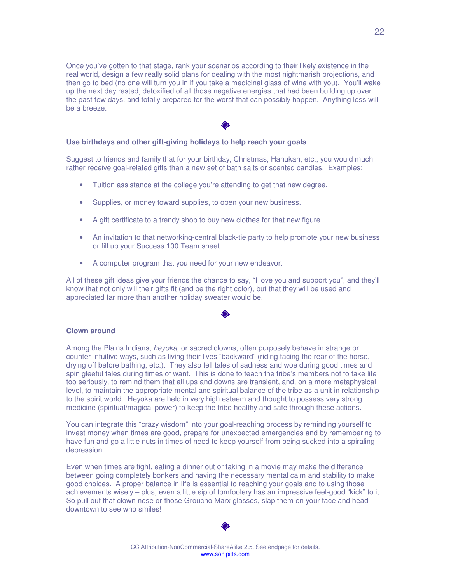Once you've gotten to that stage, rank your scenarios according to their likely existence in the real world, design a few really solid plans for dealing with the most nightmarish projections, and then go to bed (no one will turn you in if you take a medicinal glass of wine with you). You'll wake up the next day rested, detoxified of all those negative energies that had been building up over the past few days, and totally prepared for the worst that can possibly happen. Anything less will be a breeze.

#### **Use birthdays and other gift-giving holidays to help reach your goals**

Suggest to friends and family that for your birthday, Christmas, Hanukah, etc., you would much rather receive goal-related gifts than a new set of bath salts or scented candles. Examples:

- Tuition assistance at the college you're attending to get that new degree.
- Supplies, or money toward supplies, to open your new business.
- A gift certificate to a trendy shop to buy new clothes for that new figure.
- An invitation to that networking-central black-tie party to help promote your new business or fill up your Success 100 Team sheet.
- A computer program that you need for your new endeavor.

All of these gift ideas give your friends the chance to say, "I love you and support you", and they'll know that not only will their gifts fit (and be the right color), but that they will be used and appreciated far more than another holiday sweater would be.

#### **Clown around**

Among the Plains Indians, *heyoka*, or sacred clowns, often purposely behave in strange or counter-intuitive ways, such as living their lives "backward" (riding facing the rear of the horse, drying off before bathing, etc.). They also tell tales of sadness and woe during good times and spin gleeful tales during times of want. This is done to teach the tribe's members not to take life too seriously, to remind them that all ups and downs are transient, and, on a more metaphysical level, to maintain the appropriate mental and spiritual balance of the tribe as a unit in relationship to the spirit world. Heyoka are held in very high esteem and thought to possess very strong medicine (spiritual/magical power) to keep the tribe healthy and safe through these actions.

You can integrate this "crazy wisdom" into your goal-reaching process by reminding yourself to invest money when times are good, prepare for unexpected emergencies and by remembering to have fun and go a little nuts in times of need to keep yourself from being sucked into a spiraling depression.

Even when times are tight, eating a dinner out or taking in a movie may make the difference between going completely bonkers and having the necessary mental calm and stability to make good choices. A proper balance in life is essential to reaching your goals and to using those achievements wisely – plus, even a little sip of tomfoolery has an impressive feel-good "kick" to it. So pull out that clown nose or those Groucho Marx glasses, slap them on your face and head downtown to see who smiles!

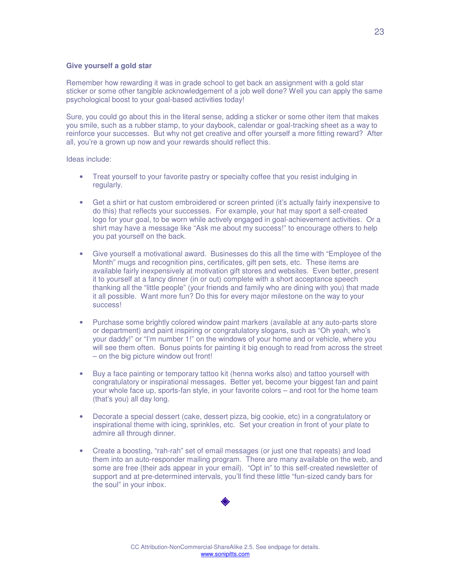#### **Give yourself a gold star**

Remember how rewarding it was in grade school to get back an assignment with a gold star sticker or some other tangible acknowledgement of a job well done? Well you can apply the same psychological boost to your goal-based activities today!

Sure, you could go about this in the literal sense, adding a sticker or some other item that makes you smile, such as a rubber stamp, to your daybook, calendar or goal-tracking sheet as a way to reinforce your successes. But why not get creative and offer yourself a more fitting reward? After all, you're a grown up now and your rewards should reflect this.

Ideas include:

- Treat yourself to your favorite pastry or specialty coffee that you resist indulging in regularly.
- Get a shirt or hat custom embroidered or screen printed (it's actually fairly inexpensive to do this) that reflects your successes. For example, your hat may sport a self-created logo for your goal, to be worn while actively engaged in goal-achievement activities. Or a shirt may have a message like "Ask me about my success!" to encourage others to help you pat yourself on the back.
- Give yourself a motivational award. Businesses do this all the time with "Employee of the Month" mugs and recognition pins, certificates, gift pen sets, etc. These items are available fairly inexpensively at motivation gift stores and websites. Even better, present it to yourself at a fancy dinner (in or out) complete with a short acceptance speech thanking all the "little people" (your friends and family who are dining with you) that made it all possible. Want more fun? Do this for every major milestone on the way to your success!
- Purchase some brightly colored window paint markers (available at any auto-parts store or department) and paint inspiring or congratulatory slogans, such as "Oh yeah, who's your daddy!" or "I'm number 1!" on the windows of your home and or vehicle, where you will see them often. Bonus points for painting it big enough to read from across the street – on the big picture window out front!
- Buy a face painting or temporary tattoo kit (henna works also) and tattoo yourself with congratulatory or inspirational messages. Better yet, become your biggest fan and paint your whole face up, sports-fan style, in your favorite colors – and root for the home team (that's you) all day long.
- Decorate a special dessert (cake, dessert pizza, big cookie, etc) in a congratulatory or inspirational theme with icing, sprinkles, etc. Set your creation in front of your plate to admire all through dinner.
- Create a boosting, "rah-rah" set of email messages (or just one that repeats) and load them into an auto-responder mailing program. There are many available on the web, and some are free (their ads appear in your email). "Opt in" to this self-created newsletter of support and at pre-determined intervals, you'll find these little "fun-sized candy bars for the soul" in your inbox.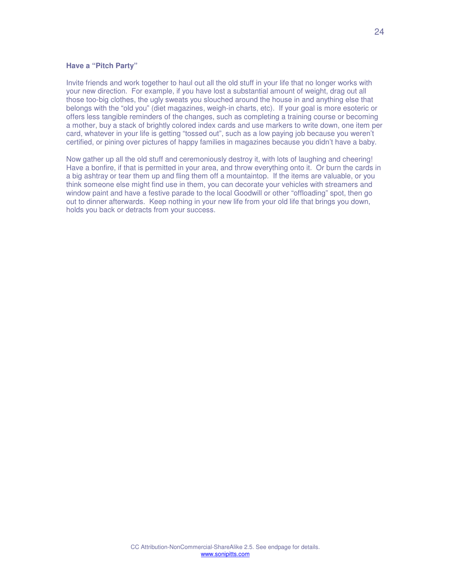#### **Have a "Pitch Party"**

Invite friends and work together to haul out all the old stuff in your life that no longer works with your new direction. For example, if you have lost a substantial amount of weight, drag out all those too-big clothes, the ugly sweats you slouched around the house in and anything else that belongs with the "old you" (diet magazines, weigh-in charts, etc). If your goal is more esoteric or offers less tangible reminders of the changes, such as completing a training course or becoming a mother, buy a stack of brightly colored index cards and use markers to write down, one item per card, whatever in your life is getting "tossed out", such as a low paying job because you weren't certified, or pining over pictures of happy families in magazines because you didn't have a baby.

Now gather up all the old stuff and ceremoniously destroy it, with lots of laughing and cheering! Have a bonfire, if that is permitted in your area, and throw everything onto it. Or burn the cards in a big ashtray or tear them up and fling them off a mountaintop. If the items are valuable, or you think someone else might find use in them, you can decorate your vehicles with streamers and window paint and have a festive parade to the local Goodwill or other "offloading" spot, then go out to dinner afterwards. Keep nothing in your new life from your old life that brings you down, holds you back or detracts from your success.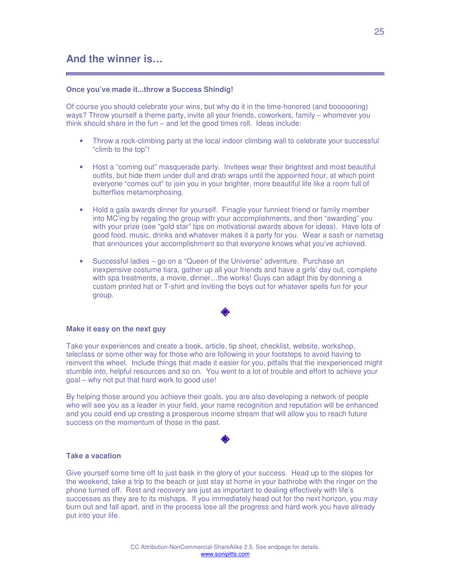#### <span id="page-24-0"></span>**Once you've made it...throw a Success Shindig!**

Of course you should celebrate your wins, but why do it in the time-honored (and boooooring) ways? Throw yourself a theme party, invite all your friends, coworkers, family – whomever you think should share in the fun – and let the good times roll. Ideas include:

- Throw a rock-climbing party at the local indoor climbing wall to celebrate your successful "climb to the top"!
- Host a "coming out" masquerade party. Invitees wear their brightest and most beautiful outfits, but hide them under dull and drab wraps until the appointed hour, at which point everyone "comes out" to join you in your brighter, more beautiful life like a room full of butterflies metamorphosing.
- Hold a gala awards dinner for yourself. Finagle your funniest friend or family member into MC'ing by regaling the group with your accomplishments, and then "awarding" you with your prize (see "gold star" tips on motivational awards above for ideas). Have lots of good food, music, drinks and whatever makes it a party for you. Wear a sash or nametag that announces your accomplishment so that everyone knows what you've achieved.
- Successful ladies go on a "Queen of the Universe" adventure. Purchase an inexpensive costume tiara, gather up all your friends and have a girls' day out, complete with spa treatments, a movie, dinner…the works! Guys can adapt this by donning a custom printed hat or T-shirt and inviting the boys out for whatever spells fun for your group.

#### **Make it easy on the next guy**

Take your experiences and create a book, article, tip sheet, checklist, website, workshop, teleclass or some other way for those who are following in your footsteps to avoid having to reinvent the wheel. Include things that made it easier for you, pitfalls that the inexperienced might stumble into, helpful resources and so on. You went to a lot of trouble and effort to achieve your goal – why not put that hard work to good use!

By helping those around you achieve their goals, you are also developing a network of people who will see you as a leader in your field, your name recognition and reputation will be enhanced and you could end up creating a prosperous income stream that will allow you to reach future success on the momentum of those in the past.

#### **Take a vacation**

Give yourself some time off to just bask in the glory of your success. Head up to the slopes for the weekend, take a trip to the beach or just stay at home in your bathrobe with the ringer on the phone turned off. Rest and recovery are just as important to dealing effectively with life's successes as they are to its mishaps. If you immediately head out for the next horizon, you may burn out and fall apart, and in the process lose all the progress and hard work you have already put into your life.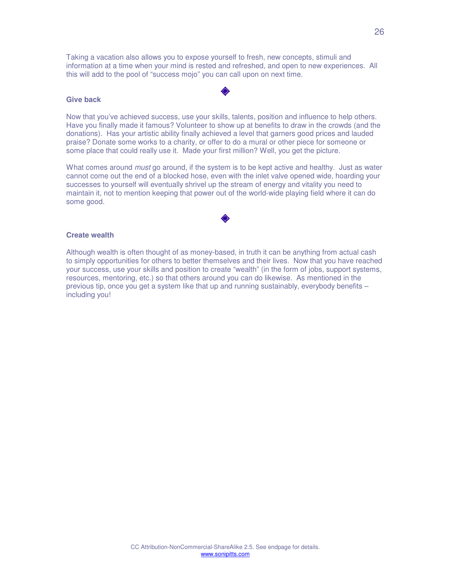Taking a vacation also allows you to expose yourself to fresh, new concepts, stimuli and information at a time when your mind is rested and refreshed, and open to new experiences. All this will add to the pool of "success mojo" you can call upon on next time.

#### **Give back**

Now that you've achieved success, use your skills, talents, position and influence to help others. Have you finally made it famous? Volunteer to show up at benefits to draw in the crowds (and the donations). Has your artistic ability finally achieved a level that garners good prices and lauded praise? Donate some works to a charity, or offer to do a mural or other piece for someone or some place that could really use it. Made your first million? Well, you get the picture.

What comes around *must* go around, if the system is to be kept active and healthy. Just as water cannot come out the end of a blocked hose, even with the inlet valve opened wide, hoarding your successes to yourself will eventually shrivel up the stream of energy and vitality you need to maintain it, not to mention keeping that power out of the world-wide playing field where it can do some good.

#### **Create wealth**

Although wealth is often thought of as money-based, in truth it can be anything from actual cash to simply opportunities for others to better themselves and their lives. Now that you have reached your success, use your skills and position to create "wealth" (in the form of jobs, support systems, resources, mentoring, etc.) so that others around you can do likewise. As mentioned in the previous tip, once you get a system like that up and running sustainably, everybody benefits – including you!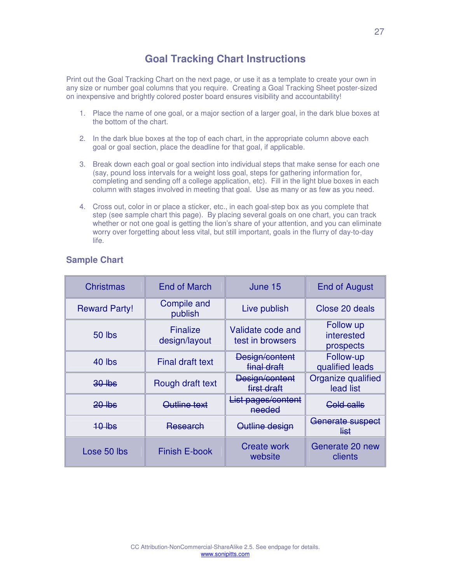## **Goal Tracking Chart Instructions**

<span id="page-26-0"></span>Print out the Goal Tracking Chart on the next page, or use it as a template to create your own in any size or number goal columns that you require. Creating a Goal Tracking Sheet poster-sized on inexpensive and brightly colored poster board ensures visibility and accountability!

- 1. Place the name of one goal, or a major section of a larger goal, in the dark blue boxes at the bottom of the chart.
- 2. In the dark blue boxes at the top of each chart, in the appropriate column above each goal or goal section, place the deadline for that goal, if applicable.
- 3. Break down each goal or goal section into individual steps that make sense for each one (say, pound loss intervals for a weight loss goal, steps for gathering information for, completing and sending off a college application, etc). Fill in the light blue boxes in each column with stages involved in meeting that goal. Use as many or as few as you need.
- 4. Cross out, color in or place a sticker, etc., in each goal-step box as you complete that step (see sample chart this page). By placing several goals on one chart, you can track whether or not one goal is getting the lion's share of your attention, and you can eliminate worry over forgetting about less vital, but still important, goals in the flurry of day-to-day life.

| <b>Christmas</b>     | <b>End of March</b>              | June 15                               | <b>End of August</b>                 |
|----------------------|----------------------------------|---------------------------------------|--------------------------------------|
| <b>Reward Party!</b> | <b>Compile and</b><br>publish    | Live publish                          | Close 20 deals                       |
| <b>50 lbs</b>        | <b>Finalize</b><br>design/layout | Validate code and<br>test in browsers | Follow up<br>interested<br>prospects |
| 40 lbs               | <b>Final draft text</b>          | Design/content<br>final draft         | Follow-up<br>qualified leads         |
| $30$ lbs             | Rough draft text                 | Design/content<br>first draft         | Organize qualified<br>lead list      |
| $20$ lbs             | <del>Outline text</del>          | List pages/content<br>needed          | <b>Cold calls</b>                    |
| $10$ lbs             | <del>Research</del>              | Outline design                        | Generate suspect<br><del>list</del>  |
| Lose 50 lbs          | <b>Finish E-book</b>             | <b>Create work</b><br>website         | Generate 20 new<br>clients           |

## **Sample Chart**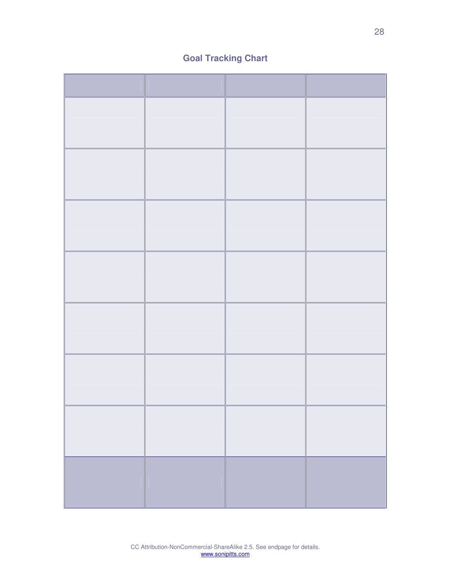## **Goal Tracking Chart**